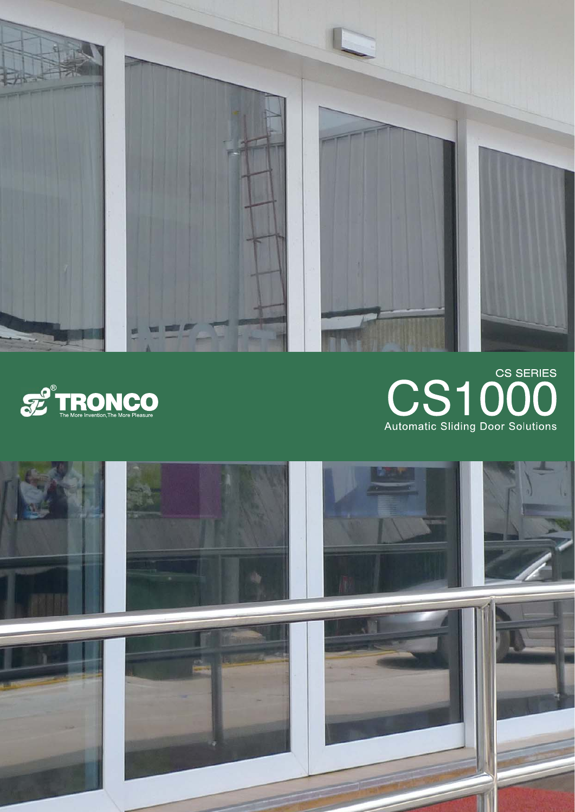



# CS1000 **Automatic Sliding Door Solutions**

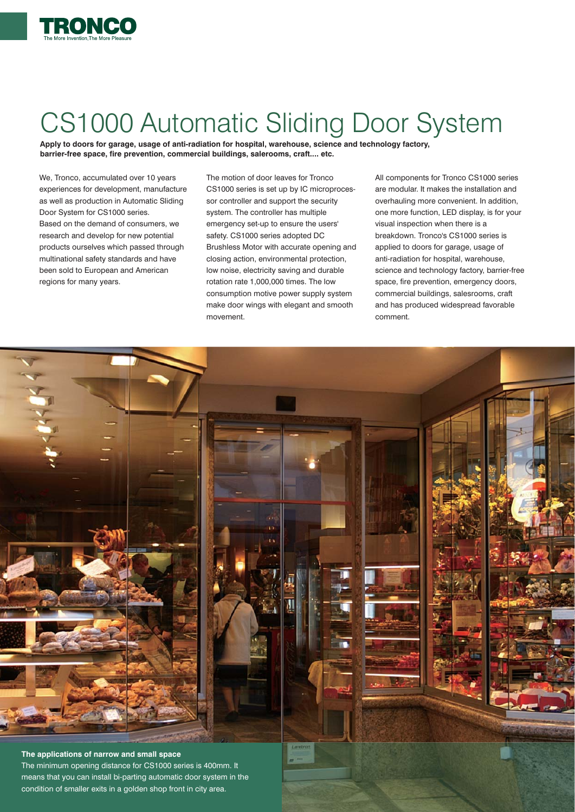

## CS1000 Automatic Sliding Door System

**Apply to doors for garage, usage of anti-radiation for hospital, warehouse, science and technology factory, barrier-free space, fire prevention, commercial buildings, salerooms, craft.... etc.**

We, Tronco, accumulated over 10 years experiences for development, manufacture as well as production in Automatic Sliding Door System for CS1000 series. Based on the demand of consumers, we research and develop for new potential products ourselves which passed through multinational safety standards and have been sold to European and American regions for many years.

The motion of door leaves for Tronco CS1000 series is set up by IC microprocessor controller and support the security system. The controller has multiple emergency set-up to ensure the users' safety. CS1000 series adopted DC Brushless Motor with accurate opening and closing action, environmental protection, low noise, electricity saving and durable rotation rate 1,000,000 times. The low consumption motive power supply system make door wings with elegant and smooth movement.

All components for Tronco CS1000 series are modular. It makes the installation and overhauling more convenient. In addition, one more function, LED display, is for your visual inspection when there is a breakdown. Tronco's CS1000 series is applied to doors for garage, usage of anti-radiation for hospital, warehouse, science and technology factory, barrier-free space, fire prevention, emergency doors, commercial buildings, salesrooms, craft and has produced widespread favorable comment.

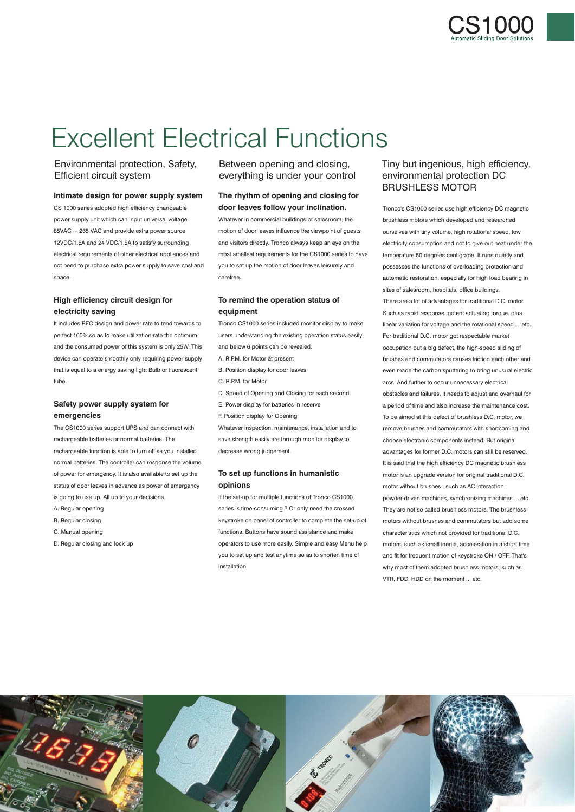

### Excellent Electrical Functions

#### Environmental protection, Safety, Efficient circuit system

#### **Intimate design for power supply system**

CS 1000 series adopted high efficiency changeable power supply unit which can input universal voltage  $85$ VAC  $\sim$  265 VAC and provide extra power source 12VDC/1.5A and 24 VDC/1.5A to satisfy surrounding electrical requirements of other electrical appliances and not need to purchase extra power supply to save cost and space.

#### **High efficiency circuit design for electricity saving**

It includes RFC design and power rate to tend towards to perfect 100% so as to make utilization rate the optimum and the consumed power of this system is only 25W. This device can operate smoothly only requiring power supply that is equal to a energy saving light Bulb or fluorescent tube

#### **Safety power supply system for emergencies**

The CS1000 series support UPS and can connect with rechargeable batteries or normal batteries. The rechargeable function is able to turn off as you installed normal batteries. The controller can response the volume of power for emergency. It is also available to set up the status of door leaves in advance as power of emergency is going to use up. All up to your decisions.

- A. Regular opening
- B. Regular closing
- C. Manual opening
- D. Regular closing and lock up

#### Between opening and closing, everything is under your control

#### **The rhythm of opening and closing for door leaves follow your inclination.**

Whatever in commercial buildings or salesroom, the motion of door leaves influence the viewpoint of guests and visitors directly. Tronco always keep an eye on the most smallest requirements for the CS1000 series to have you to set up the motion of door leaves leisurely and carefree.

#### **To remind the operation status of equipment**

Tronco CS1000 series included monitor display to make users understanding the existing operation status easily and below 6 points can be revealed.

- A. R.P.M. for Motor at present
- B. Position display for door leaves
- C. R.P.M. for Motor
- D. Speed of Opening and Closing for each second
- E. Power display for batteries in reserve
- F. Position display for Opening

Whatever inspection, maintenance, installation and to save strength easily are through monitor display to decrease wrong judgement.

#### **To set up functions in humanistic opinions**

If the set-up for multiple functions of Tronco CS1000 series is time-consuming ? Or only need the crossed keystroke on panel of controller to complete the set-up of functions. Buttons have sound assistance and make operators to use more easily. Simple and easy Menu help you to set up and test anytime so as to shorten time of installation.

#### Tiny but ingenious, high efficiency, environmental protection DC BRUSHLESS MOTOR

Tronco's CS1000 series use high efficiency DC magnetic brushless motors which developed and researched ourselves with tiny volume, high rotational speed, low electricity consumption and not to give out heat under the temperature 50 degrees centigrade. It runs quietly and possesses the functions of overloading protection and automatic restoration, especially for high load bearing in sites of salesroom, hospitals, office buildings. There are a lot of advantages for traditional D.C. motor. Such as rapid response, potent actuating torque. plus linear variation for voltage and the rotational speed ... etc. For traditional D.C. motor got respectable market occupation but a big defect, the high-speed sliding of brushes and commutators causes friction each other and even made the carbon sputtering to bring unusual electric arcs. And further to occur unnecessary electrical obstacles and failures. It needs to adjust and overhaul for a period of time and also increase the maintenance cost. To be aimed at this defect of brushless D.C. motor, we remove brushes and commutators with shortcoming and choose electronic components instead. But original advantages for former D.C. motors can still be reserved. It is said that the high efficiency DC magnetic brushless motor is an upgrade version for original traditional D.C. motor without brushes , such as AC interaction powder-driven machines, synchronizing machines ... etc. They are not so called brushless motors. The brushless motors without brushes and commutators but add some characteristics which not provided for traditional D.C. motors, such as small inertia, acceleration in a short time and fit for frequent motion of keystroke ON / OFF. That's why most of them adopted brushless motors, such as VTR, FDD, HDD on the moment ... etc.

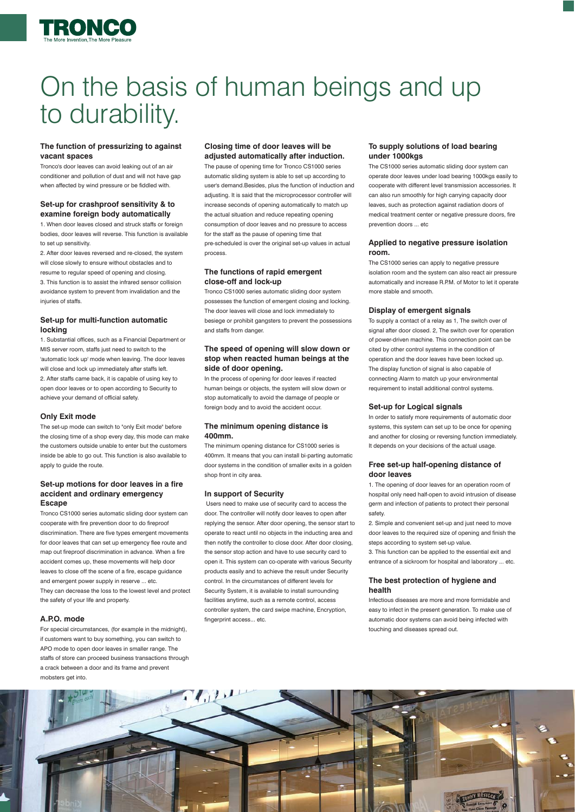

### On the basis of human beings and up to durability.

#### **The function of pressurizing to against vacant spaces**

Tronco's door leaves can avoid leaking out of an air conditioner and pollution of dust and will not have gap when affected by wind pressure or be fiddled with.

#### **Set-up for crashproof sensitivity & to examine foreign body automatically**

1. When door leaves closed and struck staffs or foreign bodies, door leaves will reverse. This function is available to set up sensitivity

2. After door leaves reversed and re-closed, the system will close slowly to ensure without obstacles and to resume to regular speed of opening and closing. 3. This function is to assist the infrared sensor collision avoidance system to prevent from invalidation and the injuries of staffs.

#### **Set-up for multi-function automatic locking**

1. Substantial offices, such as a Financial Department or MIS server room, staffs just need to switch to the 'automatic lock up' mode when leaving. The door leaves will close and lock up immediately after staffs left. 2. After staffs came back, it is capable of using key to open door leaves or to open according to Security to achieve your demand of official safety.

#### **Only Exit mode**

The set-up mode can switch to "only Exit mode" before the closing time of a shop every day, this mode can make the customers outside unable to enter but the customers inside be able to go out. This function is also available to apply to guide the route.

#### **Set-up motions for door leaves in a fire accident and ordinary emergency Escape**

Tronco CS1000 series automatic sliding door system can cooperate with fire prevention door to do fireproof discrimination. There are five types emergent movements for door leaves that can set up emergency flee route and map out fireproof discrimination in advance. When a fire accident comes up, these movements will help door leaves to close off the scene of a fire, escape guidance and emergent power supply in reserve ... etc. They can decrease the loss to the lowest level and protect the safety of your life and property.

#### **A.P.O. mode**

For special circumstances, (for example in the midnight). if customers want to buy something, you can switch to APO mode to open door leaves in smaller range. The staffs of store can proceed business transactions through a crack between a door and its frame and prevent mobsters get into.

#### **Closing time of door leaves will be adjusted automatically after induction.**

The pause of opening time for Tronco CS1000 series automatic sliding system is able to set up according to user's demand.Besides, plus the function of induction and adjusting. It is said that the microprocessor controller will increase seconds of opening automatically to match up the actual situation and reduce repeating opening consumption of door leaves and no pressure to access for the staff as the pause of opening time that pre-scheduled is over the original set-up values in actual process.

#### **The functions of rapid emergent close-off and lock-up**

Tronco CS1000 series automatic sliding door system possesses the function of emergent closing and locking. The door leaves will close and lock immediately to besiege or prohibit gangsters to prevent the possessions and staffs from danger.

#### **The speed of opening will slow down or stop when reacted human beings at the side of door opening.**

In the process of opening for door leaves if reacted human beings or objects, the system will slow down or stop automatically to avoid the damage of people or foreign body and to avoid the accident occur.

#### **The minimum opening distance is 400mm.**

The minimum opening distance for CS1000 series is 400mm. It means that you can install bi-parting automatic door systems in the condition of smaller exits in a golden shop front in city area.

#### **In support of Security**

 Users need to make use of security card to access the door. The controller will notify door leaves to open after replying the sensor. After door opening, the sensor start to operate to react until no objects in the inducting area and then notify the controller to close door. After door closing, the sensor stop action and have to use security card to open it. This system can co-operate with various Security products easily and to achieve the result under Security control. In the circumstances of different levels for Security System, it is available to install surrounding facilities anytime, such as a remote control, access controller system, the card swipe machine, Encryption, fingerprint access... etc.

#### **To supply solutions of load bearing under 1000kgs**

The CS1000 series automatic sliding door system can operate door leaves under load bearing 1000kgs easily to cooperate with different level transmission accessories. It can also run smoothly for high carrying capacity door leaves, such as protection against radiation doors of medical treatment center or negative pressure doors, fire prevention doors ... etc

#### **Applied to negative pressure isolation room.**

The CS1000 series can apply to negative pressure isolation room and the system can also react air pressure automatically and increase R.P.M. of Motor to let it operate more stable and smooth.

#### **Display of emergent signals**

To supply a contact of a relay as 1, The switch over of signal after door closed. 2, The switch over for operation of power-driven machine. This connection point can be cited by other control systems in the condition of operation and the door leaves have been locked up. The display function of signal is also capable of connecting Alarm to match up your environmental requirement to install additional control systems.

#### **Set-up for Logical signals**

In order to satisfy more requirements of automatic door systems, this system can set up to be once for opening and another for closing or reversing function immediately. It depends on your decisions of the actual usage.

#### **Free set-up half-opening distance of door leaves**

1. The opening of door leaves for an operation room of hospital only need half-open to avoid intrusion of disease germ and infection of patients to protect their personal safety.

2. Simple and convenient set-up and just need to move door leaves to the required size of opening and finish the steps according to system set-up value.

3. This function can be applied to the essential exit and entrance of a sickroom for hospital and laboratory ... etc.

#### **The best protection of hygiene and health**

Infectious diseases are more and more formidable and easy to infect in the present generation. To make use of automatic door systems can avoid being infected with touching and diseases spread out.

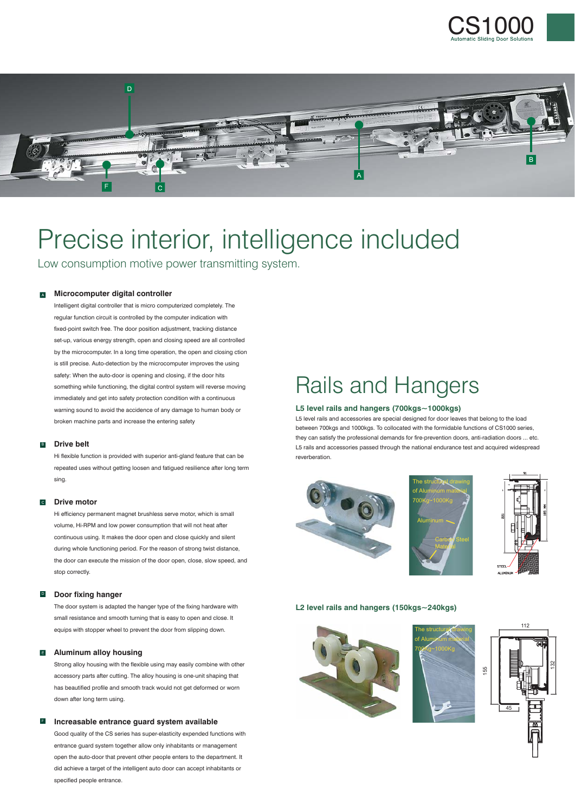



### Precise interior, intelligence included

Low consumption motive power transmitting system.

#### **Microcomputer digital controller**

Intelligent digital controller that is micro computerized completely. The regular function circuit is controlled by the computer indication with fixed-point switch free. The door position adjustment, tracking distance set-up, various energy strength, open and closing speed are all controlled by the microcomputer. In a long time operation, the open and closing ction is still precise. Auto-detection by the microcomputer improves the using safety: When the auto-door is opening and closing, if the door hits something while functioning, the digital control system will reverse moving immediately and get into safety protection condition with a continuous warning sound to avoid the accidence of any damage to human body or broken machine parts and increase the entering safety

#### **B** Drive belt

Hi flexible function is provided with superior anti-gland feature that can be repeated uses without getting loosen and fatigued resilience after long term sing.

#### ͞ **Drive motor**

Hi efficiency permanent magnet brushless serve motor, which is small volume, Hi-RPM and low power consumption that will not heat after continuous using. It makes the door open and close quickly and silent during whole functioning period. For the reason of strong twist distance, the door can execute the mission of the door open, close, slow speed, and stop correctly.

#### **D** Door fixing hanger

The door system is adapted the hanger type of the fixing hardware with small resistance and smooth turning that is easy to open and close. It equips with stopper wheel to prevent the door from slipping down.

#### **E** Aluminum alloy housing

Strong alloy housing with the flexible using may easily combine with other accessory parts after cutting. The alloy housing is one-unit shaping that has beautified profile and smooth track would not get deformed or worn down after long term using.

#### **Increasable entrance guard system available**

Good quality of the CS series has super-elasticity expended functions with entrance guard system together allow only inhabitants or management open the auto-door that prevent other people enters to the department. It did achieve a target of the intelligent auto door can accept inhabitants or specified people entrance.

### Rails and Hangers

#### **L5 level rails and hangers (700kgs~1000kgs)**

L5 level rails and accessories are special designed for door leaves that belong to the load between 700kgs and 1000kgs. To collocated with the formidable functions of CS1000 series, they can satisfy the professional demands for fire-prevention doors, anti-radiation doors ... etc. L5 rails and accessories passed through the national endurance test and acquired widespread reverberation.







#### **L2 level rails and hangers (150kgs~240kgs)**





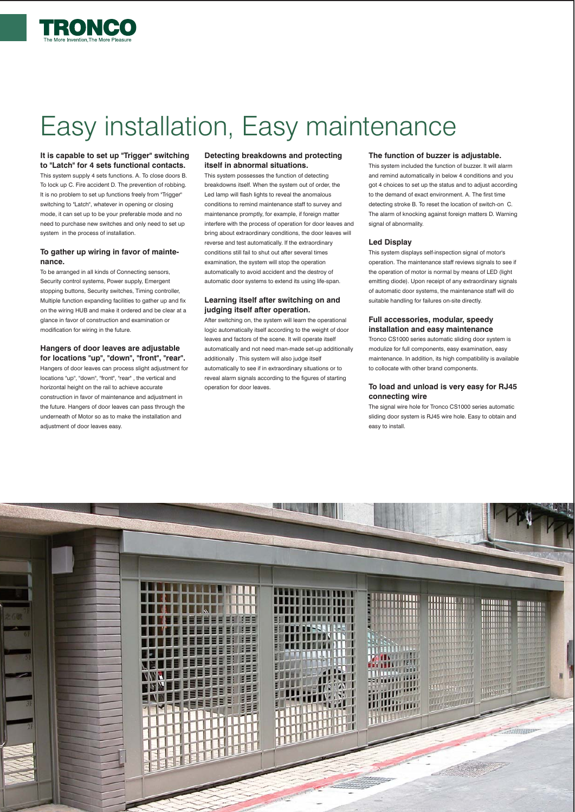

# Easy installation, Easy maintenance

#### **It is capable to set up "Trigger" switching to "Latch" for 4 sets functional contacts.**

This system supply 4 sets functions. A. To close doors B. To lock up C. Fire accident D. The prevention of robbing. It is no problem to set up functions freely from "Trigger" switching to "Latch", whatever in opening or closing mode, it can set up to be your preferable mode and no need to purchase new switches and only need to set up system in the process of installation.

#### **To gather up wiring in favor of maintenance.**

To be arranged in all kinds of Connecting sensors, Security control systems, Power supply, Emergent stopping buttons, Security switches, Timing controller, Multiple function expanding facilities to gather up and fix on the wiring HUB and make it ordered and be clear at a glance in favor of construction and examination or modification for wiring in the future.

#### **Hangers of door leaves are adjustable for locations "up", "down", "front", "rear".**

Hangers of door leaves can process slight adjustment for locations "up", "down", "front", "rear" , the vertical and horizontal height on the rail to achieve accurate construction in favor of maintenance and adjustment in the future. Hangers of door leaves can pass through the underneath of Motor so as to make the installation and adjustment of door leaves easy.

#### **Detecting breakdowns and protecting itself in abnormal situations.**

This system possesses the function of detecting breakdowns itself. When the system out of order, the Led lamp will flash lights to reveal the anomalous conditions to remind maintenance staff to survey and maintenance promptly, for example, if foreign matter interfere with the process of operation for door leaves and bring about extraordinary conditions, the door leaves will reverse and test automatically. If the extraordinary conditions still fail to shut out after several times examination, the system will stop the operation automatically to avoid accident and the destroy of automatic door systems to extend its using life-span.

#### **Learning itself after switching on and judging itself after operation.**

After switching on, the system will learn the operational logic automatically itself according to the weight of door leaves and factors of the scene. It will operate itself automatically and not need man-made set-up additionally additionally . This system will also judge itself automatically to see if in extraordinary situations or to reveal alarm signals according to the figures of starting operation for door leaves.

#### **The function of buzzer is adjustable.**

This system included the function of buzzer. It will alarm and remind automatically in below 4 conditions and you got 4 choices to set up the status and to adjust according to the demand of exact environment. A. The first time detecting stroke B. To reset the location of switch-on C. The alarm of knocking against foreign matters D. Warning signal of abnormality.

#### **Led Display**

This system displays self-inspection signal of motor's operation. The maintenance staff reviews signals to see if the operation of motor is normal by means of LED (light emitting diode). Upon receipt of any extraordinary signals of automatic door systems, the maintenance staff will do suitable handling for failures on-site directly.

#### **Full accessories, modular, speedy installation and easy maintenance**

Tronco CS1000 series automatic sliding door system is modulize for full components, easy examination, easy maintenance. In addition, its high compatibility is available to collocate with other brand components.

#### **To load and unload is very easy for RJ45 connecting wire**

The signal wire hole for Tronco CS1000 series automatic sliding door system is RJ45 wire hole. Easy to obtain and easy to install.

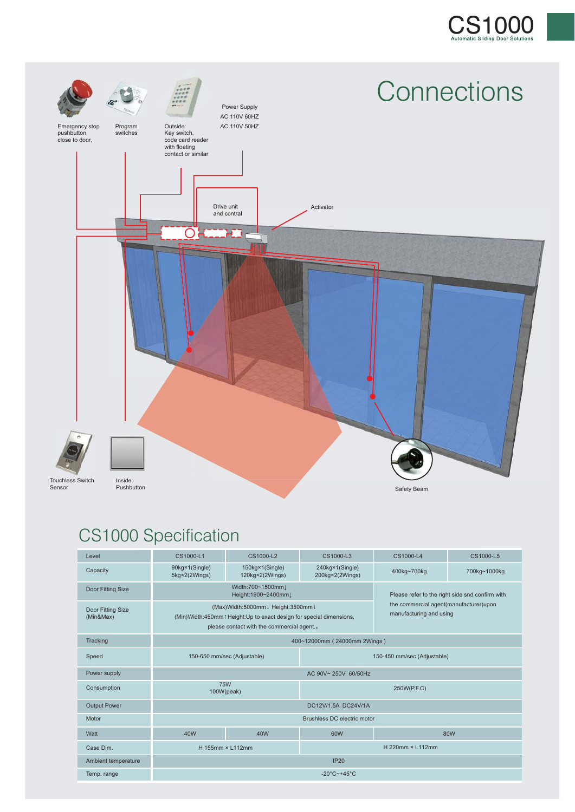



### CS1000 Specification

| Level                          | CS1000-L1                                                                                                                                                | CS1000-L2                          | CS1000-L3                          | CS1000-L4                                                                                                            | CS1000-L5    |
|--------------------------------|----------------------------------------------------------------------------------------------------------------------------------------------------------|------------------------------------|------------------------------------|----------------------------------------------------------------------------------------------------------------------|--------------|
| Capacity                       | 90kg×1(Single)<br>5kg×2(2Wings)                                                                                                                          | 150kg×1(Single)<br>120kg×2(2Wings) | 240kg×1(Single)<br>200kg×2(2Wings) | 400kg~700kg                                                                                                          | 700kg~1000kg |
| Door Fitting Size              | Width:700~1500mm」<br>Height:1900~2400mm」                                                                                                                 |                                    |                                    | Please refer to the right side snd confirm with<br>the commercial agent(manufacturer)upon<br>manufacturing and using |              |
| Door Fitting Size<br>(Min&Max) | (Max)Width:5000mm↓ Height:3500mm↓<br>(Min) Width: 450mm 1 Height: Up to exact design for special dimensions,<br>please contact with the commercial agent |                                    |                                    |                                                                                                                      |              |
| Tracking                       | 400~12000mm (24000mm 2Wings)                                                                                                                             |                                    |                                    |                                                                                                                      |              |
| Speed                          | 150-650 mm/sec (Adjustable)                                                                                                                              |                                    | 150-450 mm/sec (Adjustable)        |                                                                                                                      |              |
| Power supply                   | AC 90V~ 250V 60/50Hz                                                                                                                                     |                                    |                                    |                                                                                                                      |              |
| Consumption                    | <b>75W</b><br>100W(peak)                                                                                                                                 |                                    | 250W(P.F.C)                        |                                                                                                                      |              |
| <b>Output Power</b>            | DC12V/1.5A DC24V/1A                                                                                                                                      |                                    |                                    |                                                                                                                      |              |
| Motor                          | Brushless DC electric motor                                                                                                                              |                                    |                                    |                                                                                                                      |              |
| Watt                           | 40W                                                                                                                                                      | 40W                                | 60W                                |                                                                                                                      | 80W          |
| Case Dim.                      | H 155mm × L112mm                                                                                                                                         |                                    | H 220mm × L112mm                   |                                                                                                                      |              |
| Ambient temperature            | IP20                                                                                                                                                     |                                    |                                    |                                                                                                                      |              |
| Temp. range                    | -20 $\degree$ C~+45 $\degree$ C                                                                                                                          |                                    |                                    |                                                                                                                      |              |